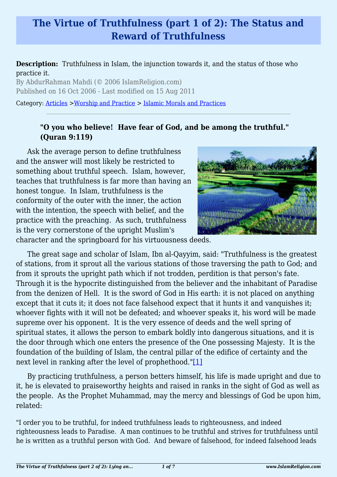# **The Virtue of Truthfulness (part 1 of 2): The Status and Reward of Truthfulness**

### **Description:** Truthfulness in Islam, the injunction towards it, and the status of those who practice it.

By AbdurRahman Mahdi (© 2006 IslamReligion.com) Published on 16 Oct 2006 - Last modified on 15 Aug 2011

Category: [Articles](http://www.islamreligion.com/articles/) >[Worship and Practice](http://www.islamreligion.com/category/55/) > [Islamic Morals and Practices](http://www.islamreligion.com/category/58/)

### **"O you who believe! Have fear of God, and be among the truthful." (Quran 9:119)**

Ask the average person to define truthfulness and the answer will most likely be restricted to something about truthful speech. Islam, however, teaches that truthfulness is far more than having an honest tongue. In Islam, truthfulness is the conformity of the outer with the inner, the action with the intention, the speech with belief, and the practice with the preaching. As such, truthfulness is the very cornerstone of the upright Muslim's



character and the springboard for his virtuousness deeds.

The great sage and scholar of Islam, Ibn al-Qayyim, said: "Truthfulness is the greatest of stations, from it sprout all the various stations of those traversing the path to God; and from it sprouts the upright path which if not trodden, perdition is that person's fate. Through it is the hypocrite distinguished from the believer and the inhabitant of Paradise from the denizen of Hell. It is the sword of God in His earth: it is not placed on anything except that it cuts it; it does not face falsehood expect that it hunts it and vanquishes it; whoever fights with it will not be defeated; and whoever speaks it, his word will be made supreme over his opponent. It is the very essence of deeds and the well spring of spiritual states, it allows the person to embark boldly into dangerous situations, and it is the door through which one enters the presence of the One possessing Majesty. It is the foundation of the building of Islam, the central pillar of the edifice of certainty and the next level in ranking after the level of prophethood."[\[1\]](#page-2-0)

<span id="page-0-0"></span>By practicing truthfulness, a person betters himself, his life is made upright and due to it, he is elevated to praiseworthy heights and raised in ranks in the sight of God as well as the people. As the Prophet Muhammad, may the mercy and blessings of God be upon him, related:

"I order you to be truthful, for indeed truthfulness leads to righteousness, and indeed righteousness leads to Paradise. A man continues to be truthful and strives for truthfulness until he is written as a truthful person with God. And beware of falsehood, for indeed falsehood leads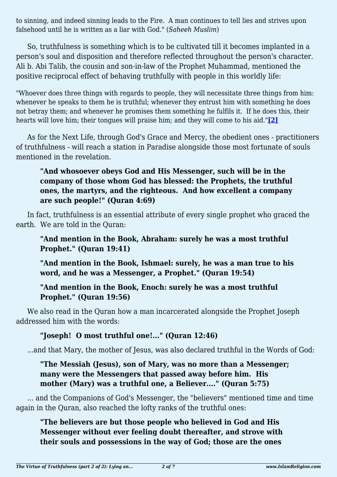to sinning, and indeed sinning leads to the Fire. A man continues to tell lies and strives upon falsehood until he is written as a liar with God." (*Saheeh Muslim*)

So, truthfulness is something which is to be cultivated till it becomes implanted in a person's soul and disposition and therefore reflected throughout the person's character. Ali b. Abi Talib, the cousin and son-in-law of the Prophet Muhammad, mentioned the positive reciprocal effect of behaving truthfully with people in this worldly life:

"Whoever does three things with regards to people, they will necessitate three things from him: whenever he speaks to them he is truthful; whenever they entrust him with something he does not betray them; and whenever he promises them something he fulfils it. If he does this, their hearts will love him; their tongues will praise him; and they will come to his aid."**[\[2\]](#page-2-1)**

<span id="page-1-0"></span>As for the Next Life, through God's Grace and Mercy, the obedient ones - practitioners of truthfulness - will reach a station in Paradise alongside those most fortunate of souls mentioned in the revelation.

## **"And whosoever obeys God and His Messenger, such will be in the company of those whom God has blessed: the Prophets, the truthful ones, the martyrs, and the righteous. And how excellent a company are such people!" (Quran 4:69)**

In fact, truthfulness is an essential attribute of every single prophet who graced the earth. We are told in the Quran:

### **"And mention in the Book, Abraham: surely he was a most truthful Prophet." (Quran 19:41)**

**"And mention in the Book, Ishmael: surely, he was a man true to his word, and he was a Messenger, a Prophet." (Quran 19:54)**

### **"And mention in the Book, Enoch: surely he was a most truthful Prophet." (Quran 19:56)**

We also read in the Quran how a man incarcerated alongside the Prophet Joseph addressed him with the words:

## **"Joseph! O most truthful one!..." (Quran 12:46)**

...and that Mary, the mother of Jesus, was also declared truthful in the Words of God:

## **"The Messiah (Jesus), son of Mary, was no more than a Messenger; many were the Messengers that passed away before him. His mother (Mary) was a truthful one, a Believer...." (Quran 5:75)**

... and the Companions of God's Messenger, the "believers" mentioned time and time again in the Quran, also reached the lofty ranks of the truthful ones:

## **"The believers are but those people who believed in God and His Messenger without ever feeling doubt thereafter, and strove with their souls and possessions in the way of God; those are the ones**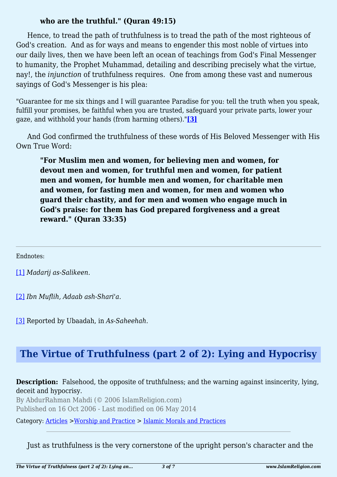### **who are the truthful." (Quran 49:15)**

Hence, to tread the path of truthfulness is to tread the path of the most righteous of God's creation. And as for ways and means to engender this most noble of virtues into our daily lives, then we have been left an ocean of teachings from God's Final Messenger to humanity, the Prophet Muhammad, detailing and describing precisely what the virtue, nay!, the *injunction* of truthfulness requires. One from among these vast and numerous sayings of God's Messenger is his plea:

"Guarantee for me six things and I will guarantee Paradise for you: tell the truth when you speak, fulfill your promises, be faithful when you are trusted, safeguard your private parts, lower your gaze, and withhold your hands (from harming others)."**[\[3\]](#page-2-2)**

<span id="page-2-3"></span>And God confirmed the truthfulness of these words of His Beloved Messenger with His Own True Word:

**"For Muslim men and women, for believing men and women, for devout men and women, for truthful men and women, for patient men and women, for humble men and women, for charitable men and women, for fasting men and women, for men and women who guard their chastity, and for men and women who engage much in God's praise: for them has God prepared forgiveness and a great reward." (Quran 33:35)**

<span id="page-2-0"></span>Endnotes:

[\[1\]](#page-0-0) *Madarij as-Salikeen*.

<span id="page-2-1"></span>[\[2\]](#page-1-0) *Ibn Muflih, Adaab ash-Shari'a*.

<span id="page-2-2"></span>[\[3\]](#page-2-3) Reported by Ubaadah, in *As*-*Saheehah*.

## **The Virtue of Truthfulness (part 2 of 2): Lying and Hypocrisy**

#### **Description:** Falsehood, the opposite of truthfulness; and the warning against insincerity, lying, deceit and hypocrisy.

By AbdurRahman Mahdi (© 2006 IslamReligion.com) Published on 16 Oct 2006 - Last modified on 06 May 2014

Category: [Articles](http://www.islamreligion.com/articles/) >[Worship and Practice](http://www.islamreligion.com/category/55/) > [Islamic Morals and Practices](http://www.islamreligion.com/category/58/)

Just as truthfulness is the very cornerstone of the upright person's character and the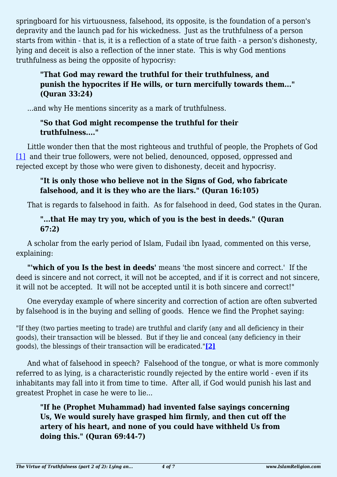springboard for his virtuousness, falsehood, its opposite, is the foundation of a person's depravity and the launch pad for his wickedness. Just as the truthfulness of a person starts from within - that is, it is a reflection of a state of true faith - a person's dishonesty, lying and deceit is also a reflection of the inner state. This is why God mentions truthfulness as being the opposite of hypocrisy:

## **"That God may reward the truthful for their truthfulness, and punish the hypocrites if He wills, or turn mercifully towards them..." (Quran 33:24)**

...and why He mentions sincerity as a mark of truthfulness.

## **"So that God might recompense the truthful for their truthfulness...."**

<span id="page-3-0"></span>Little wonder then that the most righteous and truthful of people, the Prophets of God [\[1\]](#page-5-0) and their true followers, were not belied, denounced, opposed, oppressed and rejected except by those who were given to dishonesty, deceit and hypocrisy.

## **"It is only those who believe not in the Signs of God, who fabricate falsehood, and it is they who are the liars." (Quran 16:105)**

That is regards to falsehood in faith. As for falsehood in deed, God states in the Quran.

## **"...that He may try you, which of you is the best in deeds." (Quran 67:2)**

A scholar from the early period of Islam, Fudail ibn Iyaad, commented on this verse, explaining:

**"'which of you Is the best in deeds'** means 'the most sincere and correct.' If the deed is sincere and not correct, it will not be accepted, and if it is correct and not sincere, it will not be accepted. It will not be accepted until it is both sincere and correct!"

One everyday example of where sincerity and correction of action are often subverted by falsehood is in the buying and selling of goods. Hence we find the Prophet saying:

"If they (two parties meeting to trade) are truthful and clarify (any and all deficiency in their goods), their transaction will be blessed. But if they lie and conceal (any deficiency in their goods), the blessings of their transaction will be eradicated."**[\[2\]](#page-5-1)**

<span id="page-3-1"></span>And what of falsehood in speech? Falsehood of the tongue, or what is more commonly referred to as lying, is a characteristic roundly rejected by the entire world - even if its inhabitants may fall into it from time to time. After all, if God would punish his last and greatest Prophet in case he were to lie...

**"If he (Prophet Muhammad) had invented false sayings concerning Us, We would surely have grasped him firmly, and then cut off the artery of his heart, and none of you could have withheld Us from doing this." (Quran 69:44-7)**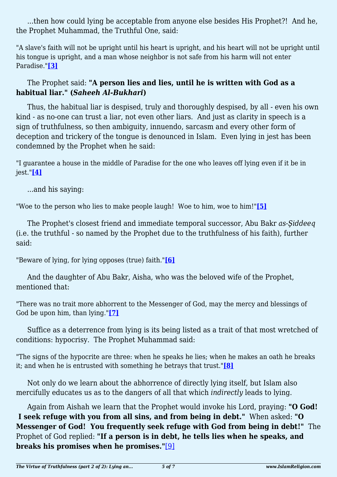...then how could lying be acceptable from anyone else besides His Prophet?! And he, the Prophet Muhammad, the Truthful One, said:

"A slave's faith will not be upright until his heart is upright, and his heart will not be upright until his tongue is upright, and a man whose neighbor is not safe from his harm will not enter Paradise."**[\[3\]](#page-5-2)**

## <span id="page-4-0"></span>The Prophet said: **"A person lies and lies, until he is written with God as a habitual liar." (***Saheeh Al-Bukhari***)**

Thus, the habitual liar is despised, truly and thoroughly despised, by all - even his own kind - as no-one can trust a liar, not even other liars. And just as clarity in speech is a sign of truthfulness, so then ambiguity, innuendo, sarcasm and every other form of deception and trickery of the tongue is denounced in Islam. Even lying in jest has been condemned by the Prophet when he said:

<span id="page-4-1"></span>"I guarantee a house in the middle of Paradise for the one who leaves off lying even if it be in jest."**[\[4\]](#page-5-3)**

...and his saying:

<span id="page-4-2"></span>"Woe to the person who lies to make people laugh! Woe to him, woe to him!"**[\[5\]](#page-5-4)**

The Prophet's closest friend and immediate temporal successor, Abu Bakr *as-Şiddeeq* (i.e. the truthful - so named by the Prophet due to the truthfulness of his faith), further said:

<span id="page-4-3"></span>"Beware of lying, for lying opposes (true) faith."**[\[6\]](#page-5-5)**

And the daughter of Abu Bakr, Aisha, who was the beloved wife of the Prophet, mentioned that:

<span id="page-4-4"></span>"There was no trait more abhorrent to the Messenger of God, may the mercy and blessings of God be upon him, than lying."**[\[7\]](#page-5-6)**

Suffice as a deterrence from lying is its being listed as a trait of that most wretched of conditions: hypocrisy. The Prophet Muhammad said:

<span id="page-4-5"></span>"The signs of the hypocrite are three: when he speaks he lies; when he makes an oath he breaks it; and when he is entrusted with something he betrays that trust."**[\[8\]](#page-5-7)**

Not only do we learn about the abhorrence of directly lying itself, but Islam also mercifully educates us as to the dangers of all that which *indirectly* leads to lying.

<span id="page-4-6"></span>Again from Aishah we learn that the Prophet would invoke his Lord, praying: **"O God! I seek refuge with you from all sins, and from being in debt."** When asked: **"O Messenger of God! You frequently seek refuge with God from being in debt!"** The Prophet of God replied: **"If a person is in debt, he tells lies when he speaks, and breaks his promises when he promises."**[\[9\]](#page-5-8)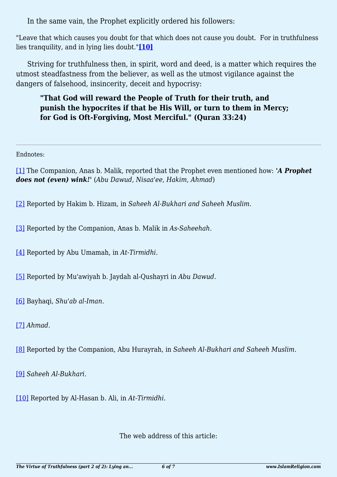In the same vain, the Prophet explicitly ordered his followers:

<span id="page-5-10"></span>"Leave that which causes you doubt for that which does not cause you doubt. For in truthfulness lies tranquility, and in lying lies doubt."**[\[10\]](#page-5-9)**

Striving for truthfulness then, in spirit, word and deed, is a matter which requires the utmost steadfastness from the believer, as well as the utmost vigilance against the dangers of falsehood, insincerity, deceit and hypocrisy:

## **"That God will reward the People of Truth for their truth, and punish the hypocrites if that be His Will, or turn to them in Mercy; for God is Oft-Forgiving, Most Merciful." (Quran 33:24)**

Endnotes:

<span id="page-5-0"></span>[\[1\]](#page-3-0) The Companion, Anas b. Malik, reported that the Prophet even mentioned how: *'A Prophet does not (even) wink!'* (*Abu Dawud, Nisaa'ee, Hakim, Ahmad*)

<span id="page-5-1"></span>[\[2\]](#page-3-1) Reported by Hakim b. Hizam, in *Saheeh Al-Bukhari and Saheeh Muslim*.

<span id="page-5-2"></span>[\[3\]](#page-4-0) Reported by the Companion, Anas b. Malik in *As-Saheehah*.

<span id="page-5-3"></span>[\[4\]](#page-4-1) Reported by Abu Umamah, in *At-Tirmidhi*.

<span id="page-5-4"></span>[\[5\]](#page-4-2) Reported by Mu'awiyah b. Jaydah al-Qushayri in *Abu Dawud*.

<span id="page-5-5"></span>[\[6\]](#page-4-3) Bayhaqi, *Shu'ab al-Iman*.

<span id="page-5-6"></span>[\[7\]](#page-4-4) *Ahmad*.

<span id="page-5-7"></span>[\[8\]](#page-4-5) Reported by the Companion, Abu Hurayrah, in *Saheeh Al-Bukhari and Saheeh Muslim*.

<span id="page-5-8"></span>[\[9\]](#page-4-6) *Saheeh Al-Bukhari*.

<span id="page-5-9"></span>[\[10\]](#page-5-10) Reported by Al-Hasan b. Ali, in *At-Tirmidhi*.

The web address of this article: